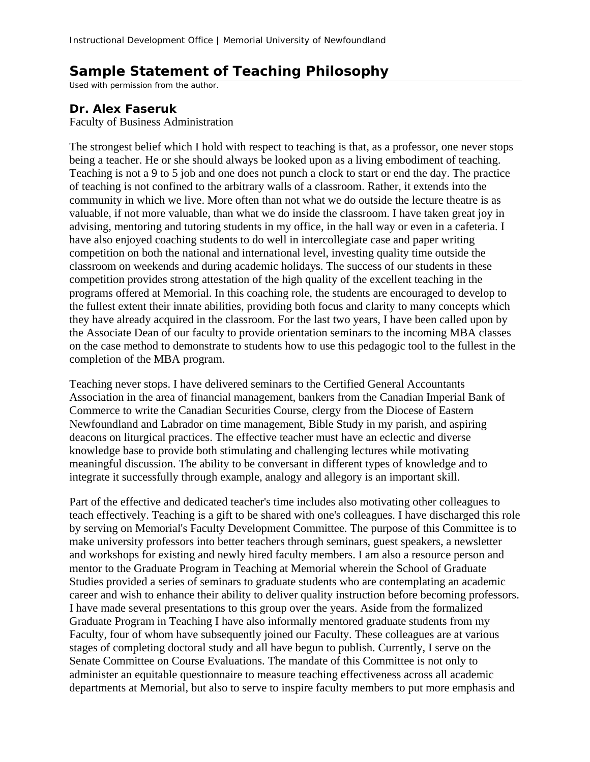## **Sample Statement of Teaching Philosophy**

Used with permission from the author.

## **Dr. Alex Faseruk**

Faculty of Business Administration

The strongest belief which I hold with respect to teaching is that, as a professor, one never stops being a teacher. He or she should always be looked upon as a living embodiment of teaching. Teaching is not a 9 to 5 job and one does not punch a clock to start or end the day. The practice of teaching is not confined to the arbitrary walls of a classroom. Rather, it extends into the community in which we live. More often than not what we do outside the lecture theatre is as valuable, if not more valuable, than what we do inside the classroom. I have taken great joy in advising, mentoring and tutoring students in my office, in the hall way or even in a cafeteria. I have also enjoyed coaching students to do well in intercollegiate case and paper writing competition on both the national and international level, investing quality time outside the classroom on weekends and during academic holidays. The success of our students in these competition provides strong attestation of the high quality of the excellent teaching in the programs offered at Memorial. In this coaching role, the students are encouraged to develop to the fullest extent their innate abilities, providing both focus and clarity to many concepts which they have already acquired in the classroom. For the last two years, I have been called upon by the Associate Dean of our faculty to provide orientation seminars to the incoming MBA classes on the case method to demonstrate to students how to use this pedagogic tool to the fullest in the completion of the MBA program.

Teaching never stops. I have delivered seminars to the Certified General Accountants Association in the area of financial management, bankers from the Canadian Imperial Bank of Commerce to write the Canadian Securities Course, clergy from the Diocese of Eastern Newfoundland and Labrador on time management, Bible Study in my parish, and aspiring deacons on liturgical practices. The effective teacher must have an eclectic and diverse knowledge base to provide both stimulating and challenging lectures while motivating meaningful discussion. The ability to be conversant in different types of knowledge and to integrate it successfully through example, analogy and allegory is an important skill.

Part of the effective and dedicated teacher's time includes also motivating other colleagues to teach effectively. Teaching is a gift to be shared with one's colleagues. I have discharged this role by serving on Memorial's Faculty Development Committee. The purpose of this Committee is to make university professors into better teachers through seminars, guest speakers, a newsletter and workshops for existing and newly hired faculty members. I am also a resource person and mentor to the Graduate Program in Teaching at Memorial wherein the School of Graduate Studies provided a series of seminars to graduate students who are contemplating an academic career and wish to enhance their ability to deliver quality instruction before becoming professors. I have made several presentations to this group over the years. Aside from the formalized Graduate Program in Teaching I have also informally mentored graduate students from my Faculty, four of whom have subsequently joined our Faculty. These colleagues are at various stages of completing doctoral study and all have begun to publish. Currently, I serve on the Senate Committee on Course Evaluations. The mandate of this Committee is not only to administer an equitable questionnaire to measure teaching effectiveness across all academic departments at Memorial, but also to serve to inspire faculty members to put more emphasis and